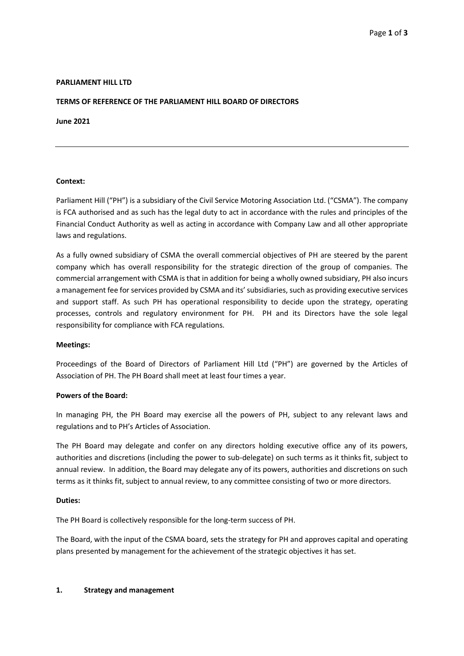## **PARLIAMENT HILL LTD**

### **TERMS OF REFERENCE OF THE PARLIAMENT HILL BOARD OF DIRECTORS**

**June 2021**

#### **Context:**

Parliament Hill ("PH") is a subsidiary of the Civil Service Motoring Association Ltd. ("CSMA"). The company is FCA authorised and as such has the legal duty to act in accordance with the rules and principles of the Financial Conduct Authority as well as acting in accordance with Company Law and all other appropriate laws and regulations.

As a fully owned subsidiary of CSMA the overall commercial objectives of PH are steered by the parent company which has overall responsibility for the strategic direction of the group of companies. The commercial arrangement with CSMA is that in addition for being a wholly owned subsidiary, PH also incurs a management fee for services provided by CSMA and its'subsidiaries, such as providing executive services and support staff. As such PH has operational responsibility to decide upon the strategy, operating processes, controls and regulatory environment for PH. PH and its Directors have the sole legal responsibility for compliance with FCA regulations.

#### **Meetings:**

Proceedings of the Board of Directors of Parliament Hill Ltd ("PH") are governed by the Articles of Association of PH. The PH Board shall meet at least four times a year.

#### **Powers of the Board:**

In managing PH, the PH Board may exercise all the powers of PH, subject to any relevant laws and regulations and to PH's Articles of Association.

The PH Board may delegate and confer on any directors holding executive office any of its powers, authorities and discretions (including the power to sub-delegate) on such terms as it thinks fit, subject to annual review. In addition, the Board may delegate any of its powers, authorities and discretions on such terms as it thinks fit, subject to annual review, to any committee consisting of two or more directors.

#### **Duties:**

The PH Board is collectively responsible for the long-term success of PH.

The Board, with the input of the CSMA board, sets the strategy for PH and approves capital and operating plans presented by management for the achievement of the strategic objectives it has set.

#### **1. Strategy and management**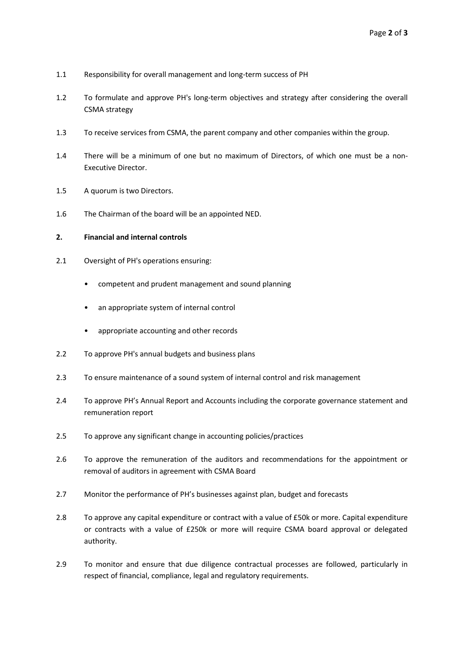- 1.1 Responsibility for overall management and long-term success of PH
- 1.2 To formulate and approve PH's long-term objectives and strategy after considering the overall CSMA strategy
- 1.3 To receive services from CSMA, the parent company and other companies within the group.
- 1.4 There will be a minimum of one but no maximum of Directors, of which one must be a non-Executive Director.
- 1.5 A quorum is two Directors.
- 1.6 The Chairman of the board will be an appointed NED.

# **2. Financial and internal controls**

- 2.1 Oversight of PH's operations ensuring:
	- competent and prudent management and sound planning
	- an appropriate system of internal control
	- appropriate accounting and other records
- 2.2 To approve PH's annual budgets and business plans
- 2.3 To ensure maintenance of a sound system of internal control and risk management
- 2.4 To approve PH's Annual Report and Accounts including the corporate governance statement and remuneration report
- 2.5 To approve any significant change in accounting policies/practices
- 2.6 To approve the remuneration of the auditors and recommendations for the appointment or removal of auditors in agreement with CSMA Board
- 2.7 Monitor the performance of PH's businesses against plan, budget and forecasts
- 2.8 To approve any capital expenditure or contract with a value of £50k or more. Capital expenditure or contracts with a value of £250k or more will require CSMA board approval or delegated authority.
- 2.9 To monitor and ensure that due diligence contractual processes are followed, particularly in respect of financial, compliance, legal and regulatory requirements.